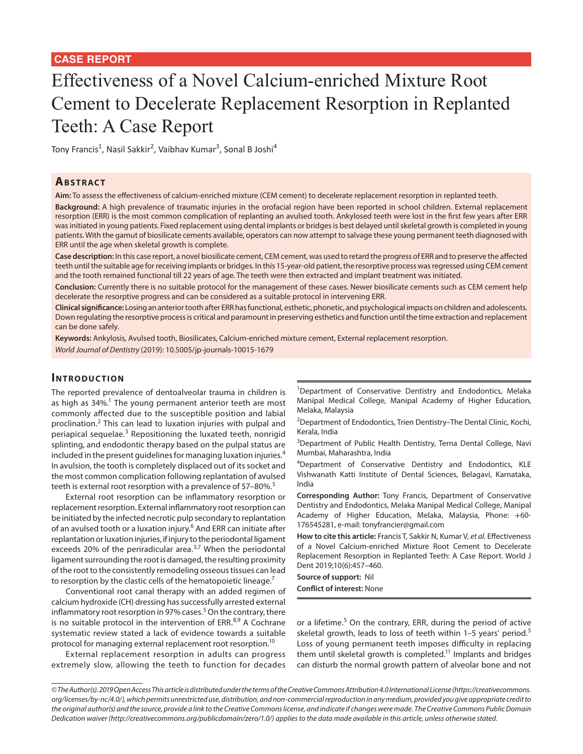# Effectiveness of a Novel Calcium-enriched Mixture Root Cement to Decelerate Replacement Resorption in Replanted Teeth: A Case Report

Tony Francis<sup>1</sup>, Nasil Sakkir<sup>2</sup>, Vaibhav Kumar<sup>3</sup>, Sonal B Joshi<sup>4</sup>

## **ABSTRACT**

**Aim:** To assess the effectiveness of calcium-enriched mixture (CEM cement) to decelerate replacement resorption in replanted teeth.

**Background:** A high prevalence of traumatic injuries in the orofacial region have been reported in school children. External replacement resorption (ERR) is the most common complication of replanting an avulsed tooth. Ankylosed teeth were lost in the first few years after ERR was initiated in young patients. Fixed replacement using dental implants or bridges is best delayed until skeletal growth is completed in young patients. With the gamut of biosilicate cements available, operators can now attempt to salvage these young permanent teeth diagnosed with ERR until the age when skeletal growth is complete.

**Case description:** In this case report, a novel biosilicate cement, CEM cement, was used to retard the progress of ERR and to preserve the affected teeth until the suitable age for receiving implants or bridges. In this 15-year-old patient, the resorptive process was regressed using CEM cement and the tooth remained functional till 22 years of age. The teeth were then extracted and implant treatment was initiated.

**Conclusion:** Currently there is no suitable protocol for the management of these cases. Newer biosilicate cements such as CEM cement help decelerate the resorptive progress and can be considered as a suitable protocol in intervening ERR.

**Clinical significance:** Losing an anterior tooth after ERR has functional, esthetic, phonetic, and psychological impacts on children and adolescents. Down regulating the resorptive process is critical and paramount in preserving esthetics and function until the time extraction and replacement can be done safely.

**Keywords:** Ankylosis, Avulsed tooth, Biosilicates, Calcium-enriched mixture cement, External replacement resorption. *World Journal of Dentistry* (2019): 10.5005/jp-journals-10015-1679

### **INTRODUCTION**

The reported prevalence of dentoalveolar trauma in children is as high as 34%.<sup>1</sup> The young permanent anterior teeth are most commonly affected due to the susceptible position and labial proclination.<sup>2</sup> This can lead to luxation injuries with pulpal and periapical sequelae.<sup>3</sup> Repositioning the luxated teeth, nonrigid splinting, and endodontic therapy based on the pulpal status are included in the present guidelines for managing luxation injuries.<sup>4</sup> In avulsion, the tooth is completely displaced out of its socket and the most common complication following replantation of avulsed teeth is external root resorption with a prevalence of 57-80%.<sup>5</sup>

External root resorption can be inflammatory resorption or replacement resorption. External inflammatory root resorption can be initiated by the infected necrotic pulp secondary to replantation of an avulsed tooth or a luxation injury.<sup>6</sup> And ERR can initiate after replantation or luxation injuries, if injury to the periodontal ligament exceeds 20% of the periradicular area. $3,7$  When the periodontal ligament surrounding the root is damaged, the resulting proximity of the root to the consistently remodeling osseous tissues can lead to resorption by the clastic cells of the hematopoietic lineage.<sup>7</sup>

Conventional root canal therapy with an added regimen of calcium hydroxide (CH) dressing has successfully arrested external inflammatory root resorption in 97% cases.<sup>5</sup> On the contrary, there is no suitable protocol in the intervention of ERR.<sup>8,9</sup> A Cochrane systematic review stated a lack of evidence towards a suitable protocol for managing external replacement root resorption.10

External replacement resorption in adults can progress extremely slow, allowing the teeth to function for decades <sup>1</sup>Department of Conservative Dentistry and Endodontics, Melaka Manipal Medical College, Manipal Academy of Higher Education, Melaka, Malaysia

<sup>2</sup>Department of Endodontics, Trien Dentistry-The Dental Clinic, Kochi, Kerala, India

<sup>3</sup>Department of Public Health Dentistry, Terna Dental College, Navi Mumbai, Maharashtra, India

4 Department of Conservative Dentistry and Endodontics, KLE Vishwanath Katti Institute of Dental Sciences, Belagavi, Karnataka, India

**Corresponding Author:** Tony Francis, Department of Conservative Dentistry and Endodontics, Melaka Manipal Medical College, Manipal Academy of Higher Education, Melaka, Malaysia, Phone: +60- 176545281, e-mail: tonyfrancier@gmail.com

**How to cite this article:** Francis T, Sakkir N, Kumar V, *et al.* Effectiveness of a Novel Calcium-enriched Mixture Root Cement to Decelerate Replacement Resorption in Replanted Teeth: A Case Report. World J Dent 2019;10(6):457–460.

**Source of support:** Nil

**Conflict of interest:** None

or a lifetime.<sup>5</sup> On the contrary, ERR, during the period of active skeletal growth, leads to loss of teeth within 1-5 years' period.<sup>5</sup> Loss of young permanent teeth imposes difficulty in replacing them until skeletal growth is completed.<sup>11</sup> Implants and bridges can disturb the normal growth pattern of alveolar bone and not

*<sup>©</sup> The Author(s). 2019 Open Access This article is distributed under the terms of the Creative Commons Attribution 4.0 International License (https://creativecommons. org/licenses/by-nc/4.0/), which permits unrestricted use, distribution, and non-commercial reproduction in any medium, provided you give appropriate credit to the original author(s) and the source, provide a link to the Creative Commons license, and indicate if changes were made. The Creative Commons Public Domain Dedication waiver (http://creativecommons.org/publicdomain/zero/1.0/) applies to the data made available in this article, unless otherwise stated.*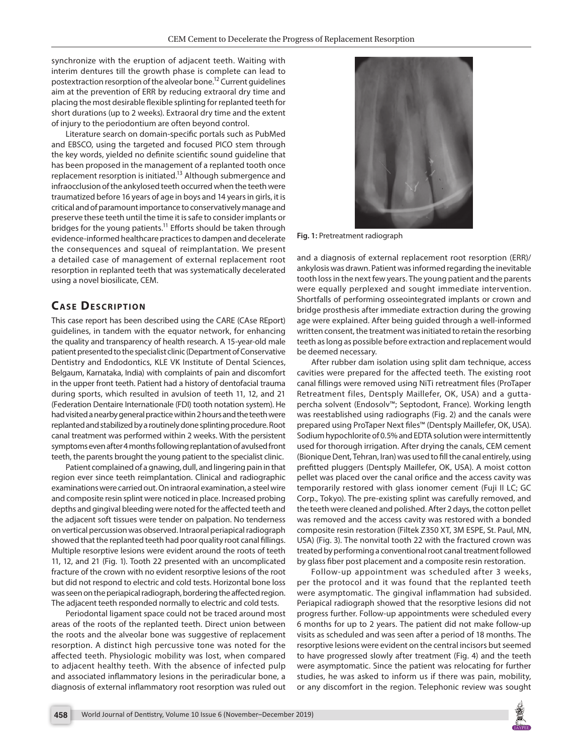synchronize with the eruption of adjacent teeth. Waiting with interim dentures till the growth phase is complete can lead to postextraction resorption of the alveolar bone.12 Current guidelines aim at the prevention of ERR by reducing extraoral dry time and placing the most desirable flexible splinting for replanted teeth for short durations (up to 2 weeks). Extraoral dry time and the extent of injury to the periodontium are often beyond control.

Literature search on domain-specific portals such as PubMed and EBSCO, using the targeted and focused PICO stem through the key words, yielded no definite scientific sound guideline that has been proposed in the management of a replanted tooth once replacement resorption is initiated.<sup>13</sup> Although submergence and infraocclusion of the ankylosed teeth occurred when the teeth were traumatized before 16 years of age in boys and 14 years in girls, it is critical and of paramount importance to conservatively manage and preserve these teeth until the time it is safe to consider implants or bridges for the young patients.<sup>11</sup> Efforts should be taken through evidence-informed healthcare practices to dampen and decelerate the consequences and squeal of reimplantation. We present a detailed case of management of external replacement root resorption in replanted teeth that was systematically decelerated using a novel biosilicate, CEM.

## **CASE DESCRIPTION**

This case report has been described using the CARE (CAse REport) guidelines, in tandem with the equator network, for enhancing the quality and transparency of health research. A 15-year-old male patient presented to the specialist clinic (Department of Conservative Dentistry and Endodontics, KLE VK Institute of Dental Sciences, Belgaum, Karnataka, India) with complaints of pain and discomfort in the upper front teeth. Patient had a history of dentofacial trauma during sports, which resulted in avulsion of teeth 11, 12, and 21 (Federation Dentaire Internationale (FDI) tooth notation system). He had visited a nearby general practice within 2 hours and the teeth were replanted and stabilized by a routinely done splinting procedure. Root canal treatment was performed within 2 weeks. With the persistent symptoms even after 4 months following replantation of avulsed front teeth, the parents brought the young patient to the specialist clinic.

Patient complained of a gnawing, dull, and lingering pain in that region ever since teeth reimplantation. Clinical and radiographic examinations were carried out. On intraoral examination, a steel wire and composite resin splint were noticed in place. Increased probing depths and gingival bleeding were noted for the affected teeth and the adjacent soft tissues were tender on palpation. No tenderness on vertical percussion was observed. Intraoral periapical radiograph showed that the replanted teeth had poor quality root canal fillings. Multiple resorptive lesions were evident around the roots of teeth 11, 12, and 21 (Fig. 1). Tooth 22 presented with an uncomplicated fracture of the crown with no evident resorptive lesions of the root but did not respond to electric and cold tests. Horizontal bone loss was seen on the periapical radiograph, bordering the affected region. The adjacent teeth responded normally to electric and cold tests.

Periodontal ligament space could not be traced around most areas of the roots of the replanted teeth. Direct union between the roots and the alveolar bone was suggestive of replacement resorption. A distinct high percussive tone was noted for the affected teeth. Physiologic mobility was lost, when compared to adjacent healthy teeth. With the absence of infected pulp and associated inflammatory lesions in the periradicular bone, a diagnosis of external inflammatory root resorption was ruled out



**Fig. 1:** Pretreatment radiograph

and a diagnosis of external replacement root resorption (ERR)/ ankylosis was drawn. Patient was informed regarding the inevitable tooth loss in the next few years. The young patient and the parents were equally perplexed and sought immediate intervention. Shortfalls of performing osseointegrated implants or crown and bridge prosthesis after immediate extraction during the growing age were explained. After being guided through a well-informed written consent, the treatment was initiated to retain the resorbing teeth as long as possible before extraction and replacement would be deemed necessary.

After rubber dam isolation using split dam technique, access cavities were prepared for the affected teeth. The existing root canal fillings were removed using NiTi retreatment files (ProTaper Retreatment files, Dentsply Maillefer, OK, USA) and a guttapercha solvent (Endosolv™; Septodont, France). Working length was reestablished using radiographs (Fig. 2) and the canals were prepared using ProTaper Next files™ (Dentsply Maillefer, OK, USA). Sodium hypochlorite of 0.5% and EDTA solution were intermittently used for thorough irrigation. After drying the canals, CEM cement (Bionique Dent, Tehran, Iran) was used to fill the canal entirely, using prefitted pluggers (Dentsply Maillefer, OK, USA). A moist cotton pellet was placed over the canal orifice and the access cavity was temporarily restored with glass ionomer cement (Fuji II LC; GC Corp., Tokyo). The pre-existing splint was carefully removed, and the teeth were cleaned and polished. After 2 days, the cotton pellet was removed and the access cavity was restored with a bonded composite resin restoration (Filtek Z350 XT, 3M ESPE, St. Paul, MN, USA) (Fig. 3). The nonvital tooth 22 with the fractured crown was treated by performing a conventional root canal treatment followed by glass fiber post placement and a composite resin restoration.

Follow-up appointment was scheduled after 3 weeks, per the protocol and it was found that the replanted teeth were asymptomatic. The gingival inflammation had subsided. Periapical radiograph showed that the resorptive lesions did not progress further. Follow-up appointments were scheduled every 6 months for up to 2 years. The patient did not make follow-up visits as scheduled and was seen after a period of 18 months. The resorptive lesions were evident on the central incisors but seemed to have progressed slowly after treatment (Fig. 4) and the teeth were asymptomatic. Since the patient was relocating for further studies, he was asked to inform us if there was pain, mobility, or any discomfort in the region. Telephonic review was sought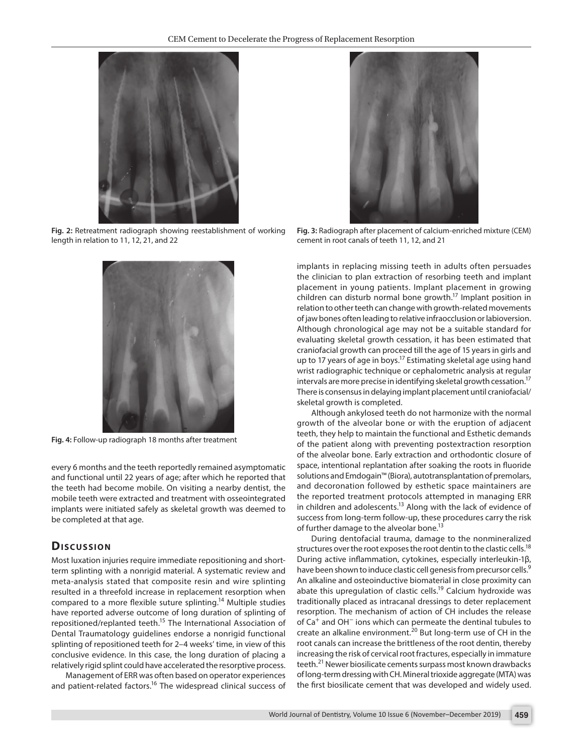

**Fig. 2:** Retreatment radiograph showing reestablishment of working length in relation to 11, 12, 21, and 22



**Fig. 4:** Follow-up radiograph 18 months after treatment

every 6 months and the teeth reportedly remained asymptomatic and functional until 22 years of age; after which he reported that the teeth had become mobile. On visiting a nearby dentist, the mobile teeth were extracted and treatment with osseointegrated implants were initiated safely as skeletal growth was deemed to be completed at that age.

### **Dis c u s sio n**

Most luxation injuries require immediate repositioning and shortterm splinting with a nonrigid material. A systematic review and meta-analysis stated that composite resin and wire splinting resulted in a threefold increase in replacement resorption when compared to a more flexible suture splinting.14 Multiple studies have reported adverse outcome of long duration of splinting of repositioned/replanted teeth.15 The International Association of Dental Traumatology guidelines endorse a nonrigid functional splinting of repositioned teeth for 2–4 weeks' time, in view of this conclusive evidence. In this case, the long duration of placing a relatively rigid splint could have accelerated the resorptive process.

Management of ERR was often based on operator experiences and patient-related factors.<sup>16</sup> The widespread clinical success of



**Fig. 3:** Radiograph after placement of calcium-enriched mixture (CEM) cement in root canals of teeth 11, 12, and 21

implants in replacing missing teeth in adults often persuades the clinician to plan extraction of resorbing teeth and implant placement in young patients. Implant placement in growing children can disturb normal bone growth.<sup>17</sup> Implant position in relation to other teeth can change with growth-related movements of jaw bones often leading to relative infraocclusion or labioversion. Although chronological age may not be a suitable standard for evaluating skeletal growth cessation, it has been estimated that craniofacial growth can proceed till the age of 15 years in girls and up to 17 years of age in boys.<sup>17</sup> Estimating skeletal age using hand wrist radiographic technique or cephalometric analysis at regular intervals are more precise in identifying skeletal growth cessation.17 There is consensus in delaying implant placement until craniofacial/ skeletal growth is completed.

Although ankylosed teeth do not harmonize with the normal growth of the alveolar bone or with the eruption of adjacent teeth, they help to maintain the functional and Esthetic demands of the patient along with preventing postextraction resorption of the alveolar bone. Early extraction and orthodontic closure of space, intentional replantation after soaking the roots in fluoride solutions and Emdogain™ (Biora), autotransplantation of premolars, and decoronation followed by esthetic space maintainers are the reported treatment protocols attempted in managing ERR in children and adolescents.<sup>13</sup> Along with the lack of evidence of success from long-term follow-up, these procedures carry the risk of further damage to the alveolar bone.<sup>13</sup>

During dentofacial trauma, damage to the nonmineralized structures over the root exposes the root dentin to the clastic cells.<sup>18</sup> During active inflammation, cytokines, especially interleukin-1β, have been shown to induce clastic cell genesis from precursor cells.<sup>9</sup> An alkaline and osteoinductive biomaterial in close proximity can abate this upregulation of clastic cells.<sup>19</sup> Calcium hydroxide was traditionally placed as intracanal dressings to deter replacement resorption. The mechanism of action of CH includes the release of Ca+ and OH− ions which can permeate the dentinal tubules to create an alkaline environment.<sup>20</sup> But long-term use of CH in the root canals can increase the brittleness of the root dentin, thereby increasing the risk of cervical root fractures, especially in immature teeth.<sup>21</sup> Newer biosilicate cements surpass most known drawbacks of long-term dressing with CH. Mineral trioxide aggregate (MTA) was the first biosilicate cement that was developed and widely used.